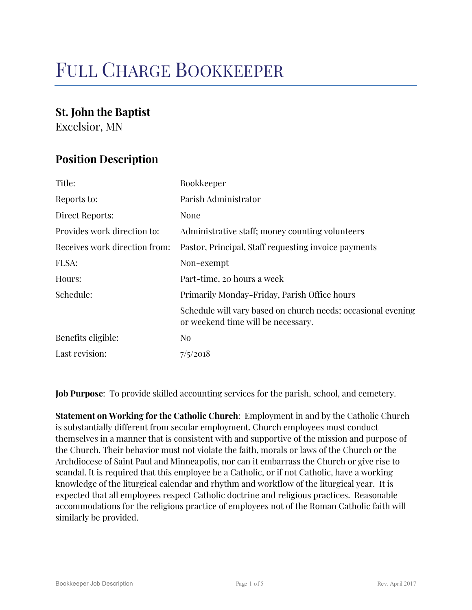# FULL CHARGE BOOKKEEPER

### **St. John the Baptist**

Excelsior, MN

## **Position Description**

| Title:                        | Bookkeeper                                                                                         |
|-------------------------------|----------------------------------------------------------------------------------------------------|
| Reports to:                   | Parish Administrator                                                                               |
| Direct Reports:               | None                                                                                               |
| Provides work direction to:   | Administrative staff; money counting volunteers                                                    |
| Receives work direction from: | Pastor, Principal, Staff requesting invoice payments                                               |
| FLSA:                         | Non-exempt                                                                                         |
| Hours:                        | Part-time, 20 hours a week                                                                         |
| Schedule:                     | Primarily Monday-Friday, Parish Office hours                                                       |
|                               | Schedule will vary based on church needs; occasional evening<br>or weekend time will be necessary. |
| Benefits eligible:            | N <sub>0</sub>                                                                                     |
| Last revision:                | 7/5/2018                                                                                           |

**Job Purpose**: To provide skilled accounting services for the parish, school, and cemetery.

**Statement on Working for the Catholic Church**: Employment in and by the Catholic Church is substantially different from secular employment. Church employees must conduct themselves in a manner that is consistent with and supportive of the mission and purpose of the Church. Their behavior must not violate the faith, morals or laws of the Church or the Archdiocese of Saint Paul and Minneapolis, nor can it embarrass the Church or give rise to scandal. It is required that this employee be a Catholic, or if not Catholic, have a working knowledge of the liturgical calendar and rhythm and workflow of the liturgical year. It is expected that all employees respect Catholic doctrine and religious practices. Reasonable accommodations for the religious practice of employees not of the Roman Catholic faith will similarly be provided.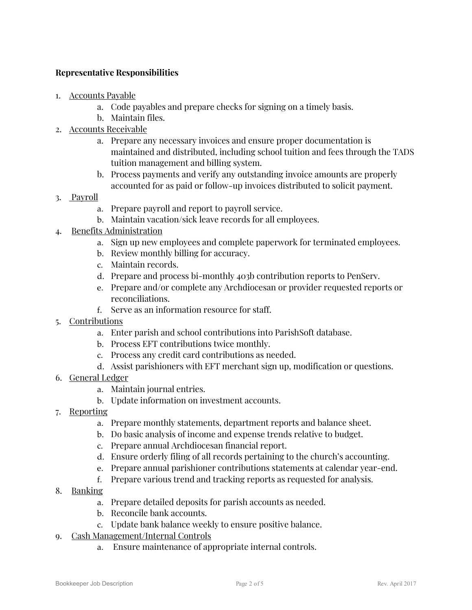#### **Representative Responsibilities**

- 1. Accounts Payable
	- a. Code payables and prepare checks for signing on a timely basis.
	- b. Maintain files.
- 2. Accounts Receivable
	- a. Prepare any necessary invoices and ensure proper documentation is maintained and distributed, including school tuition and fees through the TADS tuition management and billing system.
	- b. Process payments and verify any outstanding invoice amounts are properly accounted for as paid or follow-up invoices distributed to solicit payment.
- 3. Payroll
	- a. Prepare payroll and report to payroll service.
	- b. Maintain vacation/sick leave records for all employees.
- 4. Benefits Administration
	- a. Sign up new employees and complete paperwork for terminated employees.
	- b. Review monthly billing for accuracy.
	- c. Maintain records.
	- d. Prepare and process bi-monthly 403b contribution reports to PenServ.
	- e. Prepare and/or complete any Archdiocesan or provider requested reports or reconciliations.
	- f. Serve as an information resource for staff.
- 5. Contributions
	- a. Enter parish and school contributions into ParishSoft database.
	- b. Process EFT contributions twice monthly.
	- c. Process any credit card contributions as needed.
	- d. Assist parishioners with EFT merchant sign up, modification or questions.
- 6. General Ledger
	- a. Maintain journal entries.
	- b. Update information on investment accounts.
- 7. Reporting
	- a. Prepare monthly statements, department reports and balance sheet.
	- b. Do basic analysis of income and expense trends relative to budget.
	- c. Prepare annual Archdiocesan financial report.
	- d. Ensure orderly filing of all records pertaining to the church's accounting.
	- e. Prepare annual parishioner contributions statements at calendar year-end.
	- f. Prepare various trend and tracking reports as requested for analysis.
- 8. Banking
	- a. Prepare detailed deposits for parish accounts as needed.
	- b. Reconcile bank accounts.
	- c. Update bank balance weekly to ensure positive balance.
- 9. Cash Management/Internal Controls
	- a. Ensure maintenance of appropriate internal controls.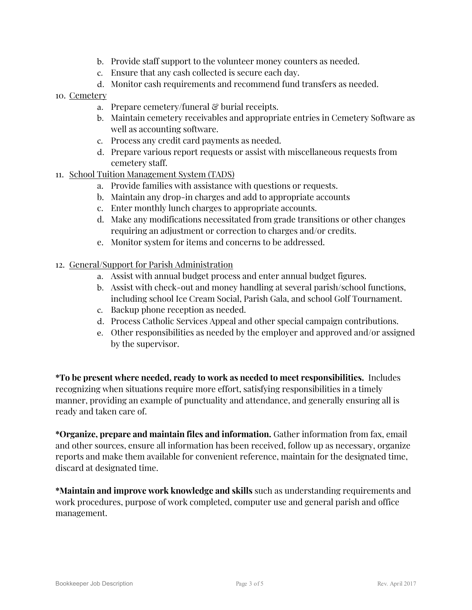- b. Provide staff support to the volunteer money counters as needed.
- c. Ensure that any cash collected is secure each day.
- d. Monitor cash requirements and recommend fund transfers as needed.
- 10. Cemetery
	- a. Prepare cemetery/funeral  $\mathcal{C}$  burial receipts.
	- b. Maintain cemetery receivables and appropriate entries in Cemetery Software as well as accounting software.
	- c. Process any credit card payments as needed.
	- d. Prepare various report requests or assist with miscellaneous requests from cemetery staff.
- 11. School Tuition Management System (TADS)
	- a. Provide families with assistance with questions or requests.
	- b. Maintain any drop-in charges and add to appropriate accounts
	- c. Enter monthly lunch charges to appropriate accounts.
	- d. Make any modifications necessitated from grade transitions or other changes requiring an adjustment or correction to charges and/or credits.
	- e. Monitor system for items and concerns to be addressed.
- 12. General/Support for Parish Administration
	- a. Assist with annual budget process and enter annual budget figures.
	- b. Assist with check-out and money handling at several parish/school functions, including school Ice Cream Social, Parish Gala, and school Golf Tournament.
	- c. Backup phone reception as needed.
	- d. Process Catholic Services Appeal and other special campaign contributions.
	- e. Other responsibilities as needed by the employer and approved and/or assigned by the supervisor.

**\*To be present where needed, ready to work as needed to meet responsibilities.** Includes recognizing when situations require more effort, satisfying responsibilities in a timely manner, providing an example of punctuality and attendance, and generally ensuring all is ready and taken care of.

**\*Organize, prepare and maintain files and information.** Gather information from fax, email and other sources, ensure all information has been received, follow up as necessary, organize reports and make them available for convenient reference, maintain for the designated time, discard at designated time.

**\*Maintain and improve work knowledge and skills** such as understanding requirements and work procedures, purpose of work completed, computer use and general parish and office management.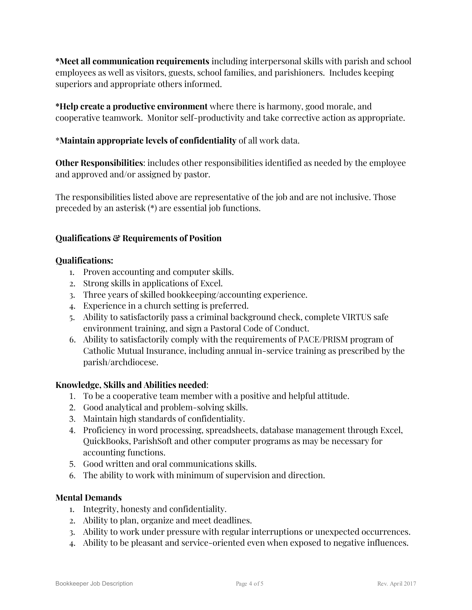**\*Meet all communication requirements** including interpersonal skills with parish and school employees as well as visitors, guests, school families, and parishioners. Includes keeping superiors and appropriate others informed.

**\*Help create a productive environment** where there is harmony, good morale, and cooperative teamwork. Monitor self-productivity and take corrective action as appropriate.

#### \***Maintain appropriate levels of confidentiality** of all work data.

**Other Responsibilities**: includes other responsibilities identified as needed by the employee and approved and/or assigned by pastor.

The responsibilities listed above are representative of the job and are not inclusive. Those preceded by an asterisk (\*) are essential job functions.

#### **Qualifications & Requirements of Position**

#### **Qualifications:**

- 1. Proven accounting and computer skills.
- 2. Strong skills in applications of Excel.
- 3. Three years of skilled bookkeeping/accounting experience.
- 4. Experience in a church setting is preferred.
- 5. Ability to satisfactorily pass a criminal background check, complete VIRTUS safe environment training, and sign a Pastoral Code of Conduct.
- 6. Ability to satisfactorily comply with the requirements of PACE/PRISM program of Catholic Mutual Insurance, including annual in-service training as prescribed by the parish/archdiocese.

#### **Knowledge, Skills and Abilities needed**:

- 1. To be a cooperative team member with a positive and helpful attitude.
- 2. Good analytical and problem-solving skills.
- 3. Maintain high standards of confidentiality.
- 4. Proficiency in word processing, spreadsheets, database management through Excel, QuickBooks, ParishSoft and other computer programs as may be necessary for accounting functions.
- 5. Good written and oral communications skills.
- 6. The ability to work with minimum of supervision and direction.

#### **Mental Demands**

- 1. Integrity, honesty and confidentiality.
- 2. Ability to plan, organize and meet deadlines.
- 3. Ability to work under pressure with regular interruptions or unexpected occurrences.
- 4. Ability to be pleasant and service-oriented even when exposed to negative influences.